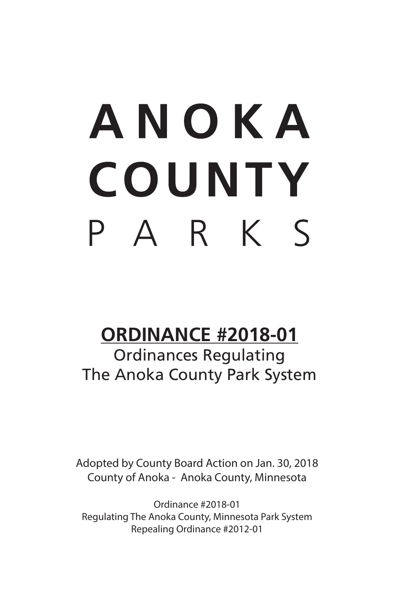# ANOKA **COUNTY** PARKS

# **ORDINANCE #2018-01**

Ordinances Regulating The Anoka County Park System

Adopted by County Board Action on Jan. 30, 2018 County of Anoka - Anoka County, Minnesota

Ordinance #2018-01 Regulating The Anoka County, Minnesota Park System Repealing Ordinance #2012-01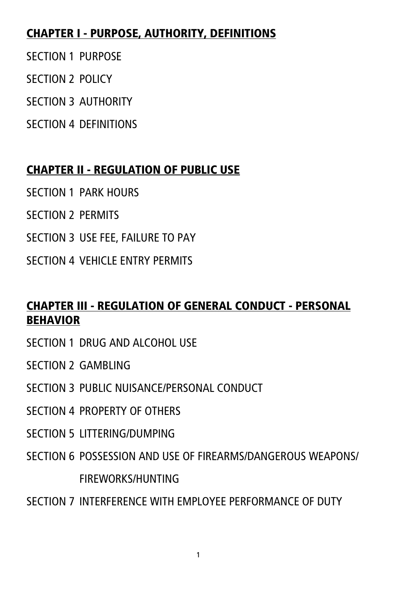#### CHAPTER I - PURPOSE, AUTHORITY, DEFINITIONS

- SECTION 1 PURPOSE
- SECTION 2 POLICY
- SECTION 3 AUTHORITY
- SECTION 4 DEFINITIONS

# CHAPTER II - REGULATION OF PUBLIC USE

- SECTION 1 PARK HOURS
- SECTION 2 PERMITS
- SECTION 3 USE FEE, FAILURE TO PAY
- SECTION 4 VEHICLE ENTRY PERMITS

#### CHAPTER III - REGULATION OF GENERAL CONDUCT - PERSONAL BEHAVIOR

- SECTION 1 DRUG AND ALCOHOL USE
- SECTION 2 GAMBLING
- SECTION 3 PUBLIC NUISANCE/PERSONAL CONDUCT
- SECTION 4 PROPERTY OF OTHERS
- SECTION 5 LITTERING/DUMPING
- SECTION 6 POSSESSION AND USE OF FIREARMS/DANGEROUS WEAPONS/ FIREWORKS/HUNTING
- SECTION 7 INTERFERENCE WITH EMPLOYEE PERFORMANCE OF DUTY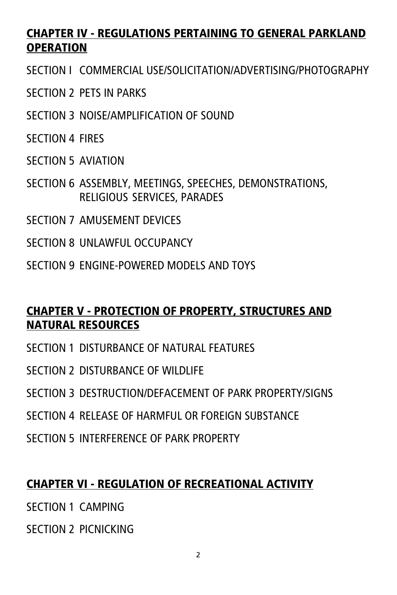#### CHAPTER IV - REGULATIONS PERTAINING TO GENERAL PARKLAND OPERATION

SECTION I COMMERCIAL USE/SOLICITATION/ADVERTISING/PHOTOGRAPHY

- SECTION 2 PETS IN PARKS
- SECTION 3 NOISE/AMPLIFICATION OF SOUND
- SECTION 4 FIRES
- SECTION 5 AVIATION
- SECTION 6 ASSEMBLY, MEETINGS, SPEECHES, DEMONSTRATIONS, RELIGIOUS SERVICES, PARADES
- SECTION 7 AMUSEMENT DEVICES
- SECTION 8 UNLAWFUL OCCUPANCY
- SECTION 9 ENGINE-POWERED MODELS AND TOYS

#### CHAPTER V - PROTECTION OF PROPERTY, STRUCTURES AND NATURAL RESOURCES

- SECTION 1 DISTURBANCE OF NATURAL FEATURES
- SECTION 2 DISTURBANCE OF WILDLIFE
- SECTION 3 DESTRUCTION/DEFACEMENT OF PARK PROPERTY/SIGNS
- SECTION 4 RELEASE OF HARMELIL OR FOREIGN SUBSTANCE
- SECTION 5 INTERFERENCE OF PARK PROPERTY

#### CHAPTER VI - REGULATION OF RECREATIONAL ACTIVITY

SECTION 1 CAMPING

SECTION 2 PICNICKING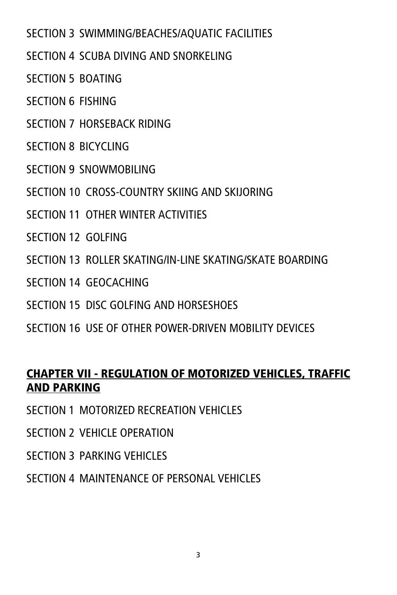SECTION 3 SWIMMING/BEACHES/AQUATIC FACILITIES

SECTION 4 SCUBA DIVING AND SNORKELING

SECTION 5 BOATING

SECTION 6 FISHING

SECTION 7 HORSEBACK RIDING

SECTION **8 BICYCLING** 

SECTION 9 SNOWMOBILING

SECTION 10 CROSS-COUNTRY SKIING AND SKIJORING

SECTION 11 OTHER WINTER ACTIVITIES

SECTION 12 GOLFING

SECTION 13 ROLLER SKATING/IN-LINE SKATING/SKATE BOARDING

SECTION 14 GEOCACHING

SECTION 15 DISC GOLFING AND HORSESHOES

SECTION 16 USE OF OTHER POWER-DRIVEN MOBILITY DEVICES

#### CHAPTER VII - REGULATION OF MOTORIZED VEHICLES, TRAFFIC AND PARKING

SECTION 1 MOTORIZED RECREATION VEHICLES

SECTION 2 VEHICLE OPERATION

SECTION 3 PARKING VEHICLES

SECTION 4 MAINTENANCE OF PERSONAL VEHICLES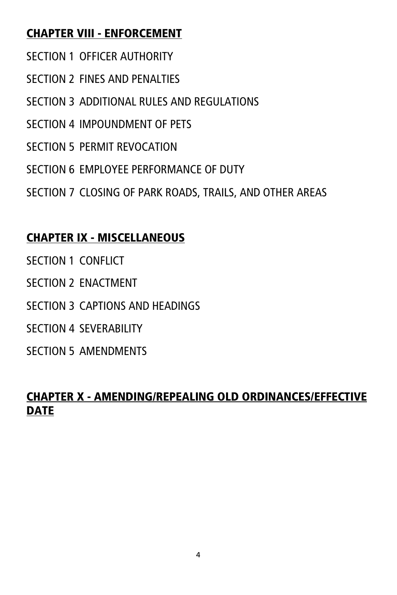#### CHAPTER VIII - ENFORCEMENT

- SECTION 1 OFFICER AUTHORITY
- SECTION 2 FINES AND PENALTIES
- SECTION 3 ADDITIONAL RULES AND REGULATIONS
- SECTION 4 IMPOUNDMENT OF PETS
- SECTION 5 PERMIT REVOCATION
- SECTION 6 EMPLOYEE PERFORMANCE OF DUTY
- SECTION 7 CLOSING OF PARK ROADS, TRAILS, AND OTHER AREAS

# CHAPTER IX - MISCELLANEOUS

- SECTION 1 CONFLICT
- SECTION 2 ENACTMENT
- SECTION 3 CAPTIONS AND HEADINGS
- SECTION 4 SEVERABILITY
- SECTION 5 AMENDMENTS

#### CHAPTER X - AMENDING/REPEALING OLD ORDINANCES/EFFECTIVE **DATE**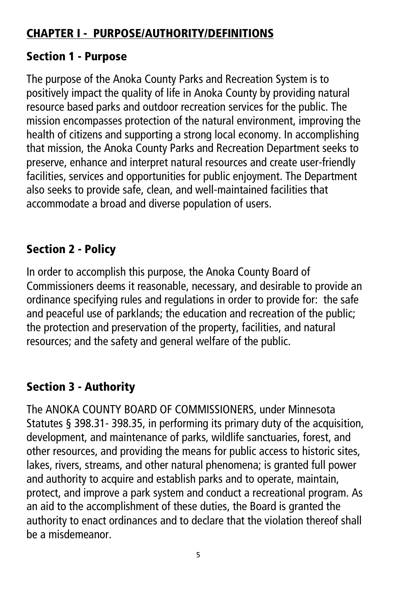# CHAPTER I - PURPOSE/AUTHORITY/DEFINITIONS

#### Section 1 - Purpose

The purpose of the Anoka County Parks and Recreation System is to positively impact the quality of life in Anoka County by providing natural resource based parks and outdoor recreation services for the public. The mission encompasses protection of the natural environment, improving the health of citizens and supporting a strong local economy. In accomplishing that mission, the Anoka County Parks and Recreation Department seeks to preserve, enhance and interpret natural resources and create user-friendly facilities, services and opportunities for public enjoyment. The Department also seeks to provide safe, clean, and well-maintained facilities that accommodate a broad and diverse population of users.

# Section 2 - Policy

In order to accomplish this purpose, the Anoka County Board of Commissioners deems it reasonable, necessary, and desirable to provide an ordinance specifying rules and regulations in order to provide for: the safe and peaceful use of parklands; the education and recreation of the public; the protection and preservation of the property, facilities, and natural resources; and the safety and general welfare of the public.

# Section 3 - Authority

The ANOKA COUNTY BOARD OF COMMISSIONERS, under Minnesota Statutes § 398.31- 398.35, in performing its primary duty of the acquisition, development, and maintenance of parks, wildlife sanctuaries, forest, and other resources, and providing the means for public access to historic sites, lakes, rivers, streams, and other natural phenomena; is granted full power and authority to acquire and establish parks and to operate, maintain, protect, and improve a park system and conduct a recreational program. As an aid to the accomplishment of these duties, the Board is granted the authority to enact ordinances and to declare that the violation thereof shall be a misdemeanor.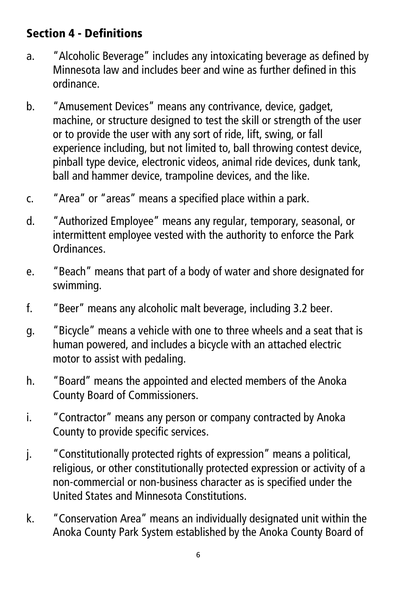# Section 4 - Definitions

- a. "Alcoholic Beverage" includes any intoxicating beverage as defined by Minnesota law and includes beer and wine as further defined in this ordinance.
- b. "Amusement Devices" means any contrivance, device, gadget, machine, or structure designed to test the skill or strength of the user or to provide the user with any sort of ride, lift, swing, or fall experience including, but not limited to, ball throwing contest device, pinball type device, electronic videos, animal ride devices, dunk tank, ball and hammer device, trampoline devices, and the like.
- c. "Area" or "areas" means a specified place within a park.
- d. "Authorized Employee" means any regular, temporary, seasonal, or intermittent employee vested with the authority to enforce the Park Ordinances.
- e. "Beach" means that part of a body of water and shore designated for swimming.
- f. "Beer" means any alcoholic malt beverage, including 3.2 beer.
- g. "Bicycle" means a vehicle with one to three wheels and a seat that is human powered, and includes a bicycle with an attached electric motor to assist with pedaling.
- h. "Board" means the appointed and elected members of the Anoka County Board of Commissioners.
- i. "Contractor" means any person or company contracted by Anoka County to provide specific services.
- j. "Constitutionally protected rights of expression" means a political, religious, or other constitutionally protected expression or activity of a non-commercial or non-business character as is specified under the United States and Minnesota Constitutions.
- k. "Conservation Area" means an individually designated unit within the Anoka County Park System established by the Anoka County Board of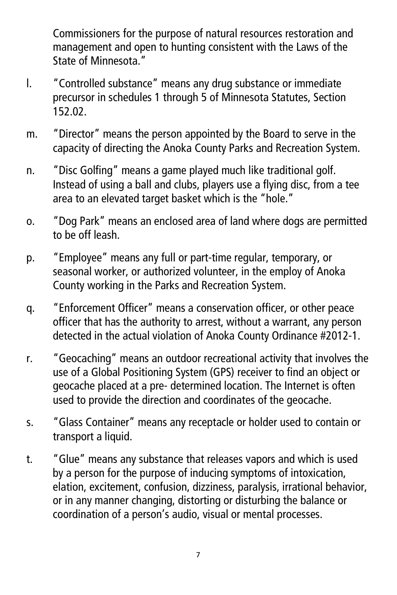Commissioners for the purpose of natural resources restoration and management and open to hunting consistent with the Laws of the State of Minnesota."

- l. "Controlled substance" means any drug substance or immediate precursor in schedules 1 through 5 of Minnesota Statutes, Section 152.02.
- m. "Director" means the person appointed by the Board to serve in the capacity of directing the Anoka County Parks and Recreation System.
- n. "Disc Golfing" means a game played much like traditional golf. Instead of using a ball and clubs, players use a flying disc, from a tee area to an elevated target basket which is the "hole."
- o. "Dog Park" means an enclosed area of land where dogs are permitted to be off leash.
- p. "Employee" means any full or part-time regular, temporary, or seasonal worker, or authorized volunteer, in the employ of Anoka County working in the Parks and Recreation System.
- q. "Enforcement Officer" means a conservation officer, or other peace officer that has the authority to arrest, without a warrant, any person detected in the actual violation of Anoka County Ordinance #2012-1.
- r. "Geocaching" means an outdoor recreational activity that involves the use of a Global Positioning System (GPS) receiver to find an object or geocache placed at a pre- determined location. The Internet is often used to provide the direction and coordinates of the geocache.
- s. "Glass Container" means any receptacle or holder used to contain or transport a liquid.
- t. "Glue" means any substance that releases vapors and which is used by a person for the purpose of inducing symptoms of intoxication, elation, excitement, confusion, dizziness, paralysis, irrational behavior, or in any manner changing, distorting or disturbing the balance or coordination of a person's audio, visual or mental processes.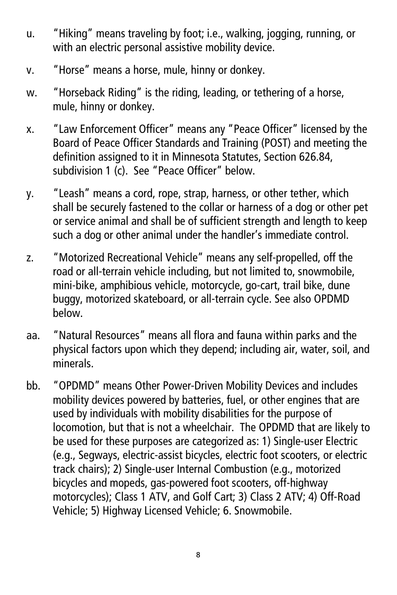- u. "Hiking" means traveling by foot; i.e., walking, jogging, running, or with an electric personal assistive mobility device.
- v. "Horse" means a horse, mule, hinny or donkey.
- w. "Horseback Riding" is the riding, leading, or tethering of a horse, mule, hinny or donkey.
- x. "Law Enforcement Officer" means any "Peace Officer" licensed by the Board of Peace Officer Standards and Training (POST) and meeting the definition assigned to it in Minnesota Statutes, Section 626.84, subdivision 1 (c). See "Peace Officer" below.
- y. "Leash" means a cord, rope, strap, harness, or other tether, which shall be securely fastened to the collar or harness of a dog or other pet or service animal and shall be of sufficient strength and length to keep such a dog or other animal under the handler's immediate control.
- z. "Motorized Recreational Vehicle" means any self-propelled, off the road or all-terrain vehicle including, but not limited to, snowmobile, mini-bike, amphibious vehicle, motorcycle, go-cart, trail bike, dune buggy, motorized skateboard, or all-terrain cycle. See also OPDMD below.
- aa. "Natural Resources" means all flora and fauna within parks and the physical factors upon which they depend; including air, water, soil, and minerals.
- bb. "OPDMD" means Other Power-Driven Mobility Devices and includes mobility devices powered by batteries, fuel, or other engines that are used by individuals with mobility disabilities for the purpose of locomotion, but that is not a wheelchair. The OPDMD that are likely to be used for these purposes are categorized as: 1) Single-user Electric (e.g., Segways, electric-assist bicycles, electric foot scooters, or electric track chairs); 2) Single-user Internal Combustion (e.g., motorized bicycles and mopeds, gas-powered foot scooters, off-highway motorcycles); Class 1 ATV, and Golf Cart; 3) Class 2 ATV; 4) Off-Road Vehicle; 5) Highway Licensed Vehicle; 6. Snowmobile.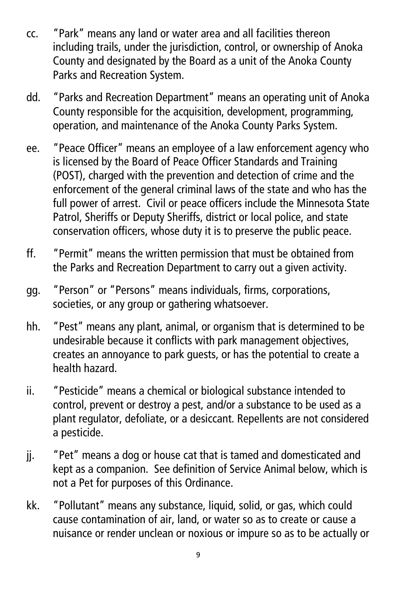- cc. "Park" means any land or water area and all facilities thereon including trails, under the jurisdiction, control, or ownership of Anoka County and designated by the Board as a unit of the Anoka County Parks and Recreation System.
- dd. "Parks and Recreation Department" means an operating unit of Anoka County responsible for the acquisition, development, programming, operation, and maintenance of the Anoka County Parks System.
- ee. "Peace Officer" means an employee of a law enforcement agency who is licensed by the Board of Peace Officer Standards and Training (POST), charged with the prevention and detection of crime and the enforcement of the general criminal laws of the state and who has the full power of arrest. Civil or peace officers include the Minnesota State Patrol, Sheriffs or Deputy Sheriffs, district or local police, and state conservation officers, whose duty it is to preserve the public peace.
- ff. "Permit" means the written permission that must be obtained from the Parks and Recreation Department to carry out a given activity.
- gg. "Person" or "Persons" means individuals, firms, corporations, societies, or any group or gathering whatsoever.
- hh. "Pest" means any plant, animal, or organism that is determined to be undesirable because it conflicts with park management objectives, creates an annoyance to park guests, or has the potential to create a health hazard.
- ii. "Pesticide" means a chemical or biological substance intended to control, prevent or destroy a pest, and/or a substance to be used as a plant regulator, defoliate, or a desiccant. Repellents are not considered a pesticide.
- jj. "Pet" means a dog or house cat that is tamed and domesticated and kept as a companion. See definition of Service Animal below, which is not a Pet for purposes of this Ordinance.
- kk. "Pollutant" means any substance, liquid, solid, or gas, which could cause contamination of air, land, or water so as to create or cause a nuisance or render unclean or noxious or impure so as to be actually or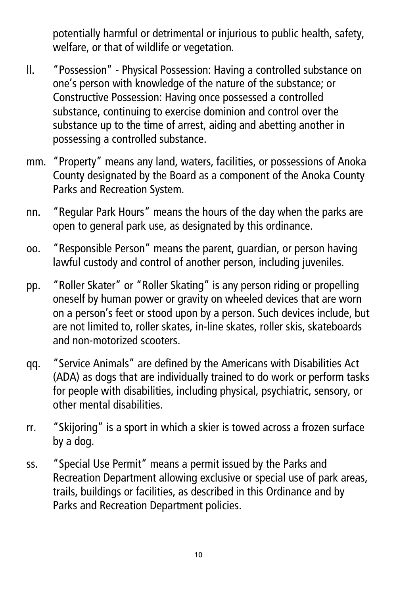potentially harmful or detrimental or injurious to public health, safety, welfare, or that of wildlife or vegetation.

- ll. "Possession" Physical Possession: Having a controlled substance on one's person with knowledge of the nature of the substance; or Constructive Possession: Having once possessed a controlled substance, continuing to exercise dominion and control over the substance up to the time of arrest, aiding and abetting another in possessing a controlled substance.
- mm. "Property" means any land, waters, facilities, or possessions of Anoka County designated by the Board as a component of the Anoka County Parks and Recreation System.
- nn. "Regular Park Hours" means the hours of the day when the parks are open to general park use, as designated by this ordinance.
- oo. "Responsible Person" means the parent, guardian, or person having lawful custody and control of another person, including juveniles.
- pp. "Roller Skater" or "Roller Skating" is any person riding or propelling oneself by human power or gravity on wheeled devices that are worn on a person's feet or stood upon by a person. Such devices include, but are not limited to, roller skates, in-line skates, roller skis, skateboards and non-motorized scooters.
- qq. "Service Animals" are defined by the Americans with Disabilities Act (ADA) as dogs that are individually trained to do work or perform tasks for people with disabilities, including physical, psychiatric, sensory, or other mental disabilities.
- rr. "Skijoring" is a sport in which a skier is towed across a frozen surface by a dog.
- ss. "Special Use Permit" means a permit issued by the Parks and Recreation Department allowing exclusive or special use of park areas, trails, buildings or facilities, as described in this Ordinance and by Parks and Recreation Department policies.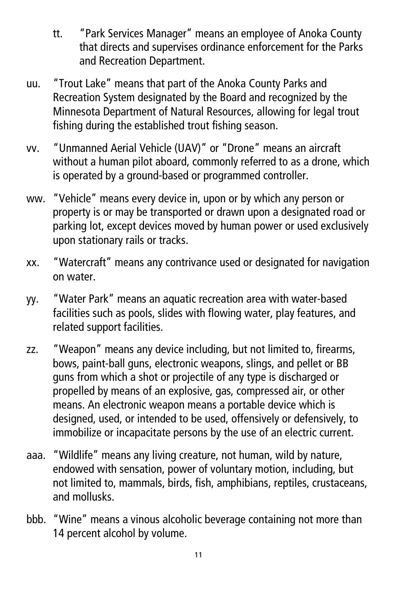- tt. "Park Services Manager" means an employee of Anoka County that directs and supervises ordinance enforcement for the Parks and Recreation Department.
- uu. "Trout Lake" means that part of the Anoka County Parks and Recreation System designated by the Board and recognized by the Minnesota Department of Natural Resources, allowing for legal trout fishing during the established trout fishing season.
- vv. "Unmanned Aerial Vehicle (UAV)" or "Drone" means an aircraft without a human pilot aboard, commonly referred to as a drone, which is operated by a ground-based or programmed controller.
- ww. "Vehicle" means every device in, upon or by which any person or property is or may be transported or drawn upon a designated road or parking lot, except devices moved by human power or used exclusively upon stationary rails or tracks.
- xx. "Watercraft" means any contrivance used or designated for navigation on water.
- yy. "Water Park" means an aquatic recreation area with water-based facilities such as pools, slides with flowing water, play features, and related support facilities.
- zz. "Weapon" means any device including, but not limited to, firearms, bows, paint-ball guns, electronic weapons, slings, and pellet or BB guns from which a shot or projectile of any type is discharged or propelled by means of an explosive, gas, compressed air, or other means. An electronic weapon means a portable device which is designed, used, or intended to be used, offensively or defensively, to immobilize or incapacitate persons by the use of an electric current.
- aaa. "Wildlife" means any living creature, not human, wild by nature, endowed with sensation, power of voluntary motion, including, but not limited to, mammals, birds, fish, amphibians, reptiles, crustaceans, and mollusks.
- bbb. "Wine" means a vinous alcoholic beverage containing not more than 14 percent alcohol by volume.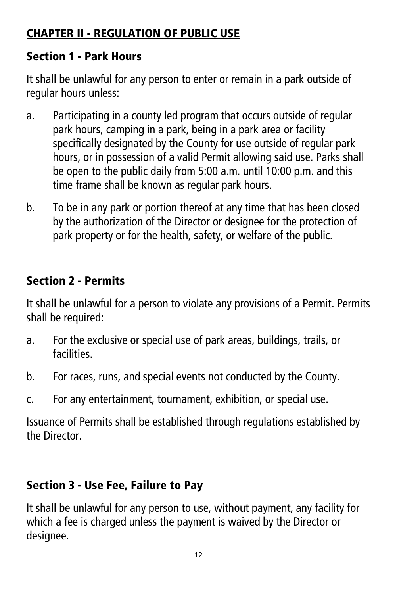# CHAPTER II - REGULATION OF PUBLIC USE

#### Section 1 - Park Hours

It shall be unlawful for any person to enter or remain in a park outside of regular hours unless:

- a. Participating in a county led program that occurs outside of regular park hours, camping in a park, being in a park area or facility specifically designated by the County for use outside of regular park hours, or in possession of a valid Permit allowing said use. Parks shall be open to the public daily from 5:00 a.m. until 10:00 p.m. and this time frame shall be known as regular park hours.
- b. To be in any park or portion thereof at any time that has been closed by the authorization of the Director or designee for the protection of park property or for the health, safety, or welfare of the public.

# Section 2 - Permits

It shall be unlawful for a person to violate any provisions of a Permit. Permits shall be required:

- a. For the exclusive or special use of park areas, buildings, trails, or facilities.
- b. For races, runs, and special events not conducted by the County.
- c. For any entertainment, tournament, exhibition, or special use.

Issuance of Permits shall be established through regulations established by the Director.

# Section 3 - Use Fee, Failure to Pay

It shall be unlawful for any person to use, without payment, any facility for which a fee is charged unless the payment is waived by the Director or desianee.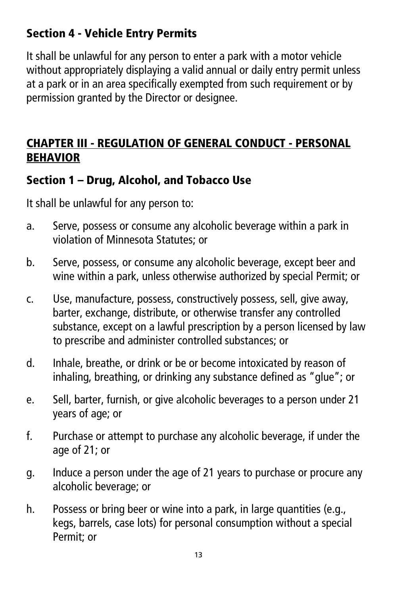# Section 4 - Vehicle Entry Permits

It shall be unlawful for any person to enter a park with a motor vehicle without appropriately displaying a valid annual or daily entry permit unless at a park or in an area specifically exempted from such requirement or by permission granted by the Director or designee.

#### CHAPTER III - REGULATION OF GENERAL CONDUCT - PERSONAL BEHAVIOR

#### Section 1 – Drug, Alcohol, and Tobacco Use

- a. Serve, possess or consume any alcoholic beverage within a park in violation of Minnesota Statutes; or
- b. Serve, possess, or consume any alcoholic beverage, except beer and wine within a park, unless otherwise authorized by special Permit; or
- c. Use, manufacture, possess, constructively possess, sell, give away, barter, exchange, distribute, or otherwise transfer any controlled substance, except on a lawful prescription by a person licensed by law to prescribe and administer controlled substances; or
- d. Inhale, breathe, or drink or be or become intoxicated by reason of inhaling, breathing, or drinking any substance defined as "glue"; or
- e. Sell, barter, furnish, or give alcoholic beverages to a person under 21 years of age; or
- f. Purchase or attempt to purchase any alcoholic beverage, if under the age of 21; or
- g. Induce a person under the age of 21 years to purchase or procure any alcoholic beverage; or
- h. Possess or bring beer or wine into a park, in large quantities (e.g., kegs, barrels, case lots) for personal consumption without a special Permit; or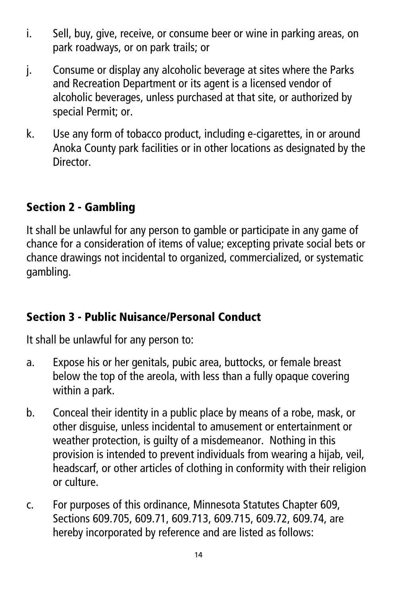- i. Sell, buy, give, receive, or consume beer or wine in parking areas, on park roadways, or on park trails; or
- j. Consume or display any alcoholic beverage at sites where the Parks and Recreation Department or its agent is a licensed vendor of alcoholic beverages, unless purchased at that site, or authorized by special Permit; or.
- k. Use any form of tobacco product, including e-cigarettes, in or around Anoka County park facilities or in other locations as designated by the Director.

# Section 2 - Gambling

It shall be unlawful for any person to gamble or participate in any game of chance for a consideration of items of value; excepting private social bets or chance drawings not incidental to organized, commercialized, or systematic gambling.

#### Section 3 - Public Nuisance/Personal Conduct

- a. Expose his or her genitals, pubic area, buttocks, or female breast below the top of the areola, with less than a fully opaque covering within a park.
- b. Conceal their identity in a public place by means of a robe, mask, or other disguise, unless incidental to amusement or entertainment or weather protection, is guilty of a misdemeanor. Nothing in this provision is intended to prevent individuals from wearing a hijab, veil, headscarf, or other articles of clothing in conformity with their religion or culture.
- c. For purposes of this ordinance, Minnesota Statutes Chapter 609, Sections 609.705, 609.71, 609.713, 609.715, 609.72, 609.74, are hereby incorporated by reference and are listed as follows: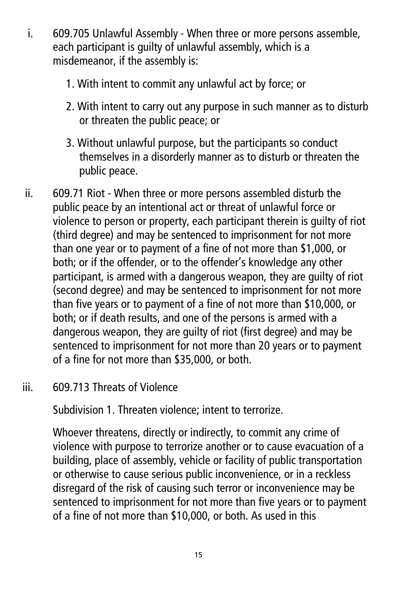- i. 609.705 Unlawful Assembly When three or more persons assemble, each participant is guilty of unlawful assembly, which is a misdemeanor, if the assembly is:
	- 1. With intent to commit any unlawful act by force; or
	- 2. With intent to carry out any purpose in such manner as to disturb or threaten the public peace; or
	- 3. Without unlawful purpose, but the participants so conduct themselves in a disorderly manner as to disturb or threaten the public peace.
- ii. 609.71 Riot When three or more persons assembled disturb the public peace by an intentional act or threat of unlawful force or violence to person or property, each participant therein is guilty of riot (third degree) and may be sentenced to imprisonment for not more than one year or to payment of a fine of not more than \$1,000, or both; or if the offender, or to the offender's knowledge any other participant, is armed with a dangerous weapon, they are guilty of riot (second degree) and may be sentenced to imprisonment for not more than five years or to payment of a fine of not more than \$10,000, or both; or if death results, and one of the persons is armed with a dangerous weapon, they are guilty of riot (first degree) and may be sentenced to imprisonment for not more than 20 years or to payment of a fine for not more than \$35,000, or both.
- iii. 609.713 Threats of Violence

Subdivision 1. Threaten violence; intent to terrorize.

Whoever threatens, directly or indirectly, to commit any crime of violence with purpose to terrorize another or to cause evacuation of a building, place of assembly, vehicle or facility of public transportation or otherwise to cause serious public inconvenience, or in a reckless disregard of the risk of causing such terror or inconvenience may be sentenced to imprisonment for not more than five years or to payment of a fine of not more than \$10,000, or both. As used in this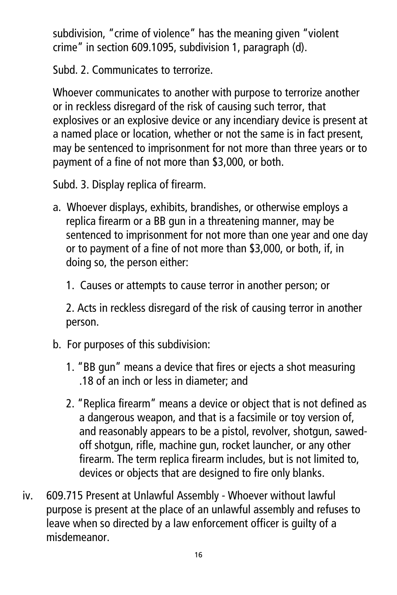subdivision, "crime of violence" has the meaning given "violent crime" in section 609.1095, subdivision 1, paragraph (d).

Subd. 2. Communicates to terrorize.

Whoever communicates to another with purpose to terrorize another or in reckless disregard of the risk of causing such terror, that explosives or an explosive device or any incendiary device is present at a named place or location, whether or not the same is in fact present, may be sentenced to imprisonment for not more than three years or to payment of a fine of not more than \$3,000, or both.

Subd. 3. Display replica of firearm.

- a. Whoever displays, exhibits, brandishes, or otherwise employs a replica firearm or a BB gun in a threatening manner, may be sentenced to imprisonment for not more than one year and one day or to payment of a fine of not more than \$3,000, or both, if, in doing so, the person either:
	- 1. Causes or attempts to cause terror in another person; or

2. Acts in reckless disregard of the risk of causing terror in another person.

- b. For purposes of this subdivision:
	- 1. "BB gun" means a device that fires or ejects a shot measuring .18 of an inch or less in diameter; and
	- 2. "Replica firearm" means a device or object that is not defined as a dangerous weapon, and that is a facsimile or toy version of, and reasonably appears to be a pistol, revolver, shotgun, sawedoff shotgun, rifle, machine gun, rocket launcher, or any other firearm. The term replica firearm includes, but is not limited to, devices or objects that are designed to fire only blanks.
- iv. 609.715 Present at Unlawful Assembly Whoever without lawful purpose is present at the place of an unlawful assembly and refuses to leave when so directed by a law enforcement officer is guilty of a misdemeanor.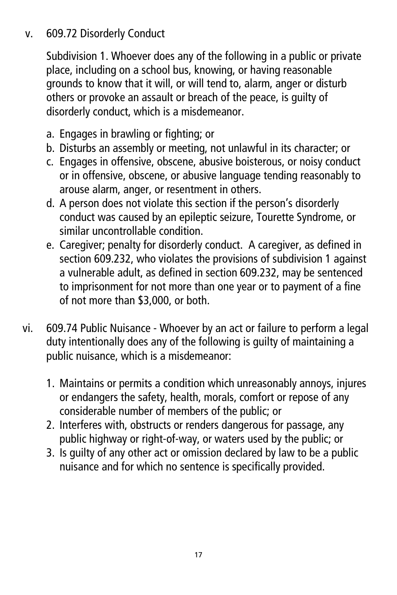#### v. 609.72 Disorderly Conduct

Subdivision 1. Whoever does any of the following in a public or private place, including on a school bus, knowing, or having reasonable grounds to know that it will, or will tend to, alarm, anger or disturb others or provoke an assault or breach of the peace, is guilty of disorderly conduct, which is a misdemeanor.

- a. Engages in brawling or fighting; or
- b. Disturbs an assembly or meeting, not unlawful in its character; or
- c. Engages in offensive, obscene, abusive boisterous, or noisy conduct or in offensive, obscene, or abusive language tending reasonably to arouse alarm, anger, or resentment in others.
- d. A person does not violate this section if the person's disorderly conduct was caused by an epileptic seizure, Tourette Syndrome, or similar uncontrollable condition.
- e. Caregiver; penalty for disorderly conduct. A caregiver, as defined in section 609.232, who violates the provisions of subdivision 1 against a vulnerable adult, as defined in section 609.232, may be sentenced to imprisonment for not more than one year or to payment of a fine of not more than \$3,000, or both.
- vi. 609.74 Public Nuisance Whoever by an act or failure to perform a legal duty intentionally does any of the following is guilty of maintaining a public nuisance, which is a misdemeanor:
	- 1. Maintains or permits a condition which unreasonably annoys, injures or endangers the safety, health, morals, comfort or repose of any considerable number of members of the public; or
	- 2. Interferes with, obstructs or renders dangerous for passage, any public highway or right-of-way, or waters used by the public; or
	- 3. Is guilty of any other act or omission declared by law to be a public nuisance and for which no sentence is specifically provided.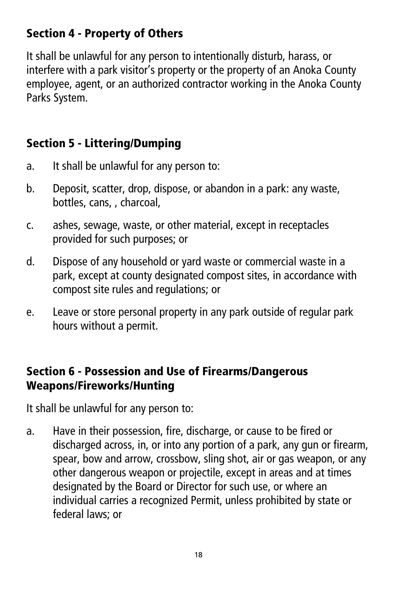# Section 4 - Property of Others

It shall be unlawful for any person to intentionally disturb, harass, or interfere with a park visitor's property or the property of an Anoka County employee, agent, or an authorized contractor working in the Anoka County Parks System.

# Section 5 - Littering/Dumping

- a. It shall be unlawful for any person to:
- b. Deposit, scatter, drop, dispose, or abandon in a park: any waste, bottles, cans, , charcoal,
- c. ashes, sewage, waste, or other material, except in receptacles provided for such purposes; or
- d. Dispose of any household or yard waste or commercial waste in a park, except at county designated compost sites, in accordance with compost site rules and regulations; or
- e. Leave or store personal property in any park outside of regular park hours without a permit.

# Section 6 - Possession and Use of Firearms/Dangerous Weapons/Fireworks/Hunting

It shall be unlawful for any person to:

a. Have in their possession, fire, discharge, or cause to be fired or discharged across, in, or into any portion of a park, any gun or firearm, spear, bow and arrow, crossbow, sling shot, air or gas weapon, or any other dangerous weapon or projectile, except in areas and at times designated by the Board or Director for such use, or where an individual carries a recognized Permit, unless prohibited by state or federal laws; or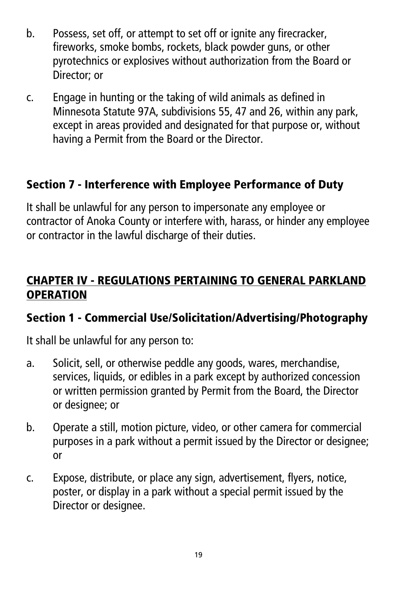- b. Possess, set off, or attempt to set off or ignite any firecracker, fireworks, smoke bombs, rockets, black powder guns, or other pyrotechnics or explosives without authorization from the Board or Director; or
- c. Engage in hunting or the taking of wild animals as defined in Minnesota Statute 97A, subdivisions 55, 47 and 26, within any park, except in areas provided and designated for that purpose or, without having a Permit from the Board or the Director.

#### Section 7 - Interference with Employee Performance of Duty

It shall be unlawful for any person to impersonate any employee or contractor of Anoka County or interfere with, harass, or hinder any employee or contractor in the lawful discharge of their duties.

#### CHAPTER IV - REGULATIONS PERTAINING TO GENERAL PARKLAND **OPERATION**

#### Section 1 - Commercial Use/Solicitation/Advertising/Photography

- a. Solicit, sell, or otherwise peddle any goods, wares, merchandise, services, liquids, or edibles in a park except by authorized concession or written permission granted by Permit from the Board, the Director or designee; or
- b. Operate a still, motion picture, video, or other camera for commercial purposes in a park without a permit issued by the Director or designee; or
- c. Expose, distribute, or place any sign, advertisement, flyers, notice, poster, or display in a park without a special permit issued by the Director or designee.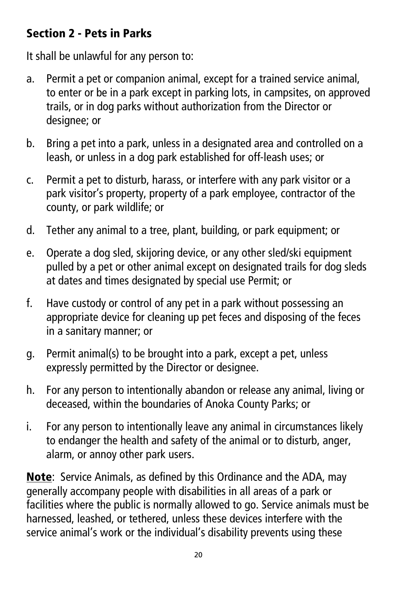# Section 2 - Pets in Parks

It shall be unlawful for any person to:

- a. Permit a pet or companion animal, except for a trained service animal, to enter or be in a park except in parking lots, in campsites, on approved trails, or in dog parks without authorization from the Director or desianee; or
- b. Bring a pet into a park, unless in a designated area and controlled on a leash, or unless in a dog park established for off-leash uses; or
- c. Permit a pet to disturb, harass, or interfere with any park visitor or a park visitor's property, property of a park employee, contractor of the county, or park wildlife; or
- d. Tether any animal to a tree, plant, building, or park equipment; or
- e. Operate a dog sled, skijoring device, or any other sled/ski equipment pulled by a pet or other animal except on designated trails for dog sleds at dates and times designated by special use Permit; or
- f. Have custody or control of any pet in a park without possessing an appropriate device for cleaning up pet feces and disposing of the feces in a sanitary manner; or
- g. Permit animal(s) to be brought into a park, except a pet, unless expressly permitted by the Director or designee.
- h. For any person to intentionally abandon or release any animal, living or deceased, within the boundaries of Anoka County Parks; or
- i. For any person to intentionally leave any animal in circumstances likely to endanger the health and safety of the animal or to disturb, anger, alarm, or annoy other park users.

Note: Service Animals, as defined by this Ordinance and the ADA, may generally accompany people with disabilities in all areas of a park or facilities where the public is normally allowed to go. Service animals must be harnessed, leashed, or tethered, unless these devices interfere with the service animal's work or the individual's disability prevents using these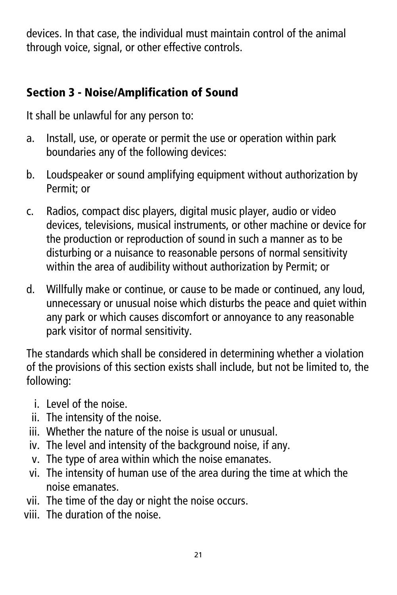devices. In that case, the individual must maintain control of the animal through voice, signal, or other effective controls.

# Section 3 - Noise/Amplification of Sound

It shall be unlawful for any person to:

- a. Install, use, or operate or permit the use or operation within park boundaries any of the following devices:
- b. Loudspeaker or sound amplifying equipment without authorization by Permit; or
- c. Radios, compact disc players, digital music player, audio or video devices, televisions, musical instruments, or other machine or device for the production or reproduction of sound in such a manner as to be disturbing or a nuisance to reasonable persons of normal sensitivity within the area of audibility without authorization by Permit; or
- d. Willfully make or continue, or cause to be made or continued, any loud, unnecessary or unusual noise which disturbs the peace and quiet within any park or which causes discomfort or annoyance to any reasonable park visitor of normal sensitivity.

The standards which shall be considered in determining whether a violation of the provisions of this section exists shall include, but not be limited to, the following:

- i. Level of the noise.
- ii. The intensity of the noise.
- iii. Whether the nature of the noise is usual or unusual.
- iv. The level and intensity of the background noise, if any.
- v. The type of area within which the noise emanates.
- vi. The intensity of human use of the area during the time at which the noise emanates.
- vii. The time of the day or night the noise occurs.
- viii. The duration of the noise.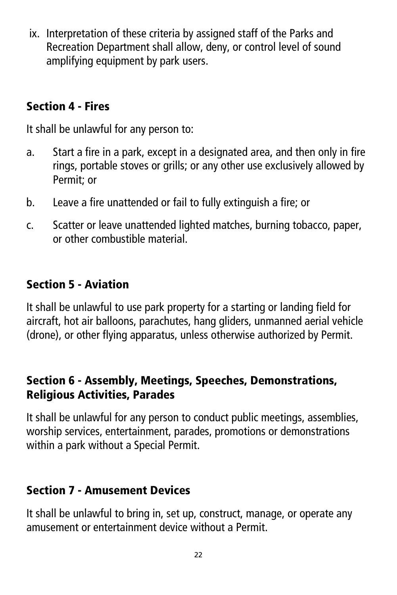ix. Interpretation of these criteria by assigned staff of the Parks and Recreation Department shall allow, deny, or control level of sound amplifying equipment by park users.

## Section 4 - Fires

It shall be unlawful for any person to:

- a. Start a fire in a park, except in a designated area, and then only in fire rings, portable stoves or grills; or any other use exclusively allowed by Permit; or
- b. Leave a fire unattended or fail to fully extinguish a fire; or
- c. Scatter or leave unattended lighted matches, burning tobacco, paper, or other combustible material.

# Section 5 - Aviation

It shall be unlawful to use park property for a starting or landing field for aircraft, hot air balloons, parachutes, hang gliders, unmanned aerial vehicle (drone), or other flying apparatus, unless otherwise authorized by Permit.

#### Section 6 - Assembly, Meetings, Speeches, Demonstrations, Religious Activities, Parades

It shall be unlawful for any person to conduct public meetings, assemblies, worship services, entertainment, parades, promotions or demonstrations within a park without a Special Permit.

# Section 7 - Amusement Devices

It shall be unlawful to bring in, set up, construct, manage, or operate any amusement or entertainment device without a Permit.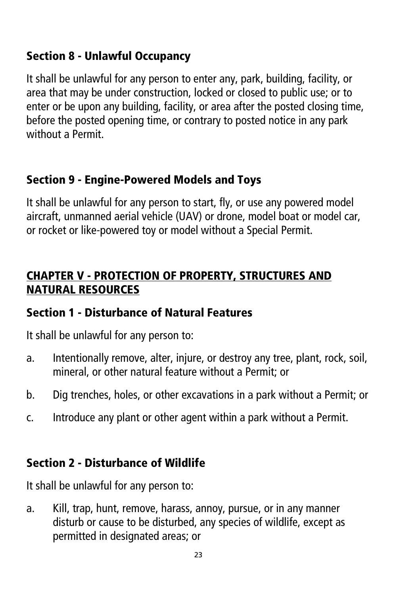#### Section 8 - Unlawful Occupancy

It shall be unlawful for any person to enter any, park, building, facility, or area that may be under construction, locked or closed to public use; or to enter or be upon any building, facility, or area after the posted closing time, before the posted opening time, or contrary to posted notice in any park without a Permit.

#### Section 9 - Engine-Powered Models and Toys

It shall be unlawful for any person to start, fly, or use any powered model aircraft, unmanned aerial vehicle (UAV) or drone, model boat or model car, or rocket or like-powered toy or model without a Special Permit.

#### CHAPTER V - PROTECTION OF PROPERTY, STRUCTURES AND NATURAL RESOURCES

#### Section 1 - Disturbance of Natural Features

It shall be unlawful for any person to:

- a. Intentionally remove, alter, injure, or destroy any tree, plant, rock, soil, mineral, or other natural feature without a Permit; or
- b. Dig trenches, holes, or other excavations in a park without a Permit; or
- c. Introduce any plant or other agent within a park without a Permit.

#### Section 2 - Disturbance of Wildlife

It shall be unlawful for any person to:

a. Kill, trap, hunt, remove, harass, annoy, pursue, or in any manner disturb or cause to be disturbed, any species of wildlife, except as permitted in designated areas; or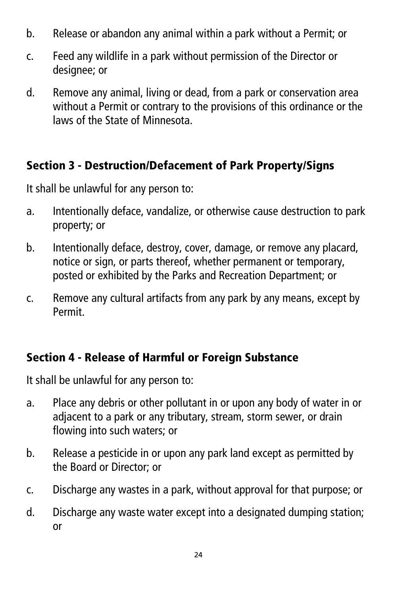- b. Release or abandon any animal within a park without a Permit; or
- c. Feed any wildlife in a park without permission of the Director or desianee; or
- d. Remove any animal, living or dead, from a park or conservation area without a Permit or contrary to the provisions of this ordinance or the laws of the State of Minnesota.

#### Section 3 - Destruction/Defacement of Park Property/Signs

It shall be unlawful for any person to:

- a. Intentionally deface, vandalize, or otherwise cause destruction to park property; or
- b. Intentionally deface, destroy, cover, damage, or remove any placard, notice or sign, or parts thereof, whether permanent or temporary, posted or exhibited by the Parks and Recreation Department; or
- c. Remove any cultural artifacts from any park by any means, except by Permit.

# Section 4 - Release of Harmful or Foreign Substance

- a. Place any debris or other pollutant in or upon any body of water in or adjacent to a park or any tributary, stream, storm sewer, or drain flowing into such waters; or
- b. Release a pesticide in or upon any park land except as permitted by the Board or Director; or
- c. Discharge any wastes in a park, without approval for that purpose; or
- d. Discharge any waste water except into a designated dumping station; or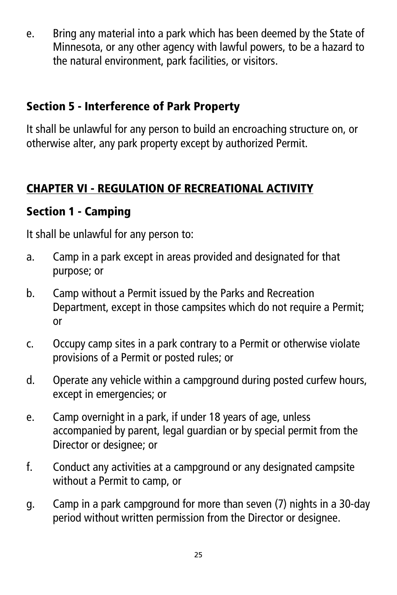e. Bring any material into a park which has been deemed by the State of Minnesota, or any other agency with lawful powers, to be a hazard to the natural environment, park facilities, or visitors.

#### Section 5 - Interference of Park Property

It shall be unlawful for any person to build an encroaching structure on, or otherwise alter, any park property except by authorized Permit.

# CHAPTER VI - REGULATION OF RECREATIONAL ACTIVITY

#### Section 1 - Camping

- a. Camp in a park except in areas provided and designated for that purpose; or
- b. Camp without a Permit issued by the Parks and Recreation Department, except in those campsites which do not require a Permit; or
- c. Occupy camp sites in a park contrary to a Permit or otherwise violate provisions of a Permit or posted rules; or
- d. Operate any vehicle within a campground during posted curfew hours, except in emergencies; or
- e. Camp overnight in a park, if under 18 years of age, unless accompanied by parent, legal guardian or by special permit from the Director or designee; or
- f. Conduct any activities at a campground or any designated campsite without a Permit to camp, or
- g. Camp in a park campground for more than seven (7) nights in a 30-day period without written permission from the Director or designee.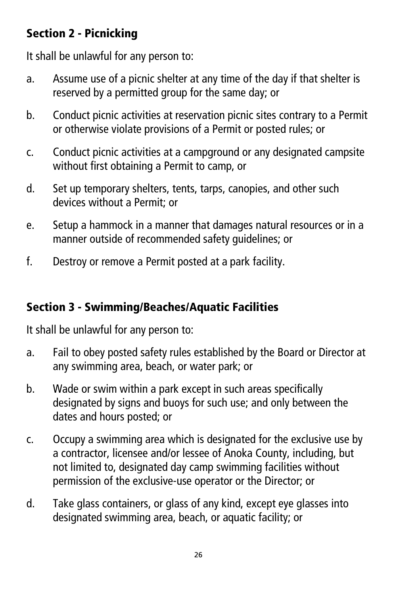# Section 2 - Picnicking

It shall be unlawful for any person to:

- a. Assume use of a picnic shelter at any time of the day if that shelter is reserved by a permitted group for the same day; or
- b. Conduct picnic activities at reservation picnic sites contrary to a Permit or otherwise violate provisions of a Permit or posted rules; or
- c. Conduct picnic activities at a campground or any designated campsite without first obtaining a Permit to camp, or
- d. Set up temporary shelters, tents, tarps, canopies, and other such devices without a Permit; or
- e. Setup a hammock in a manner that damages natural resources or in a manner outside of recommended safety guidelines; or
- f. Destroy or remove a Permit posted at a park facility.

# Section 3 - Swimming/Beaches/Aquatic Facilities

- a. Fail to obey posted safety rules established by the Board or Director at any swimming area, beach, or water park; or
- b. Wade or swim within a park except in such areas specifically designated by signs and buoys for such use; and only between the dates and hours posted; or
- c. Occupy a swimming area which is designated for the exclusive use by a contractor, licensee and/or lessee of Anoka County, including, but not limited to, designated day camp swimming facilities without permission of the exclusive-use operator or the Director; or
- d. Take glass containers, or glass of any kind, except eye glasses into designated swimming area, beach, or aquatic facility; or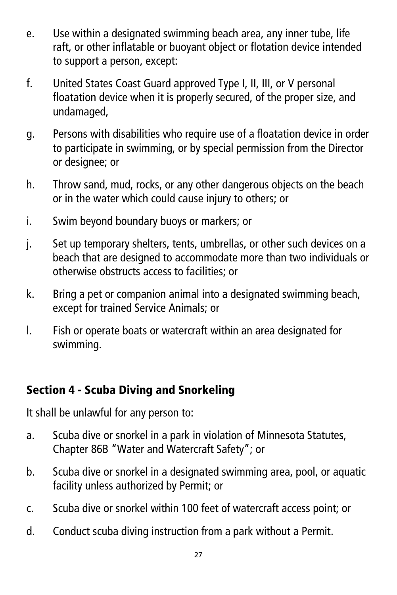- e. Use within a designated swimming beach area, any inner tube, life raft, or other inflatable or buoyant object or flotation device intended to support a person, except:
- f. United States Coast Guard approved Type I, II, III, or V personal floatation device when it is properly secured, of the proper size, and undamaged,
- g. Persons with disabilities who require use of a floatation device in order to participate in swimming, or by special permission from the Director or designee; or
- h. Throw sand, mud, rocks, or any other dangerous objects on the beach or in the water which could cause injury to others; or
- i. Swim beyond boundary buoys or markers; or
- j. Set up temporary shelters, tents, umbrellas, or other such devices on a beach that are designed to accommodate more than two individuals or otherwise obstructs access to facilities; or
- k. Bring a pet or companion animal into a designated swimming beach, except for trained Service Animals; or
- l. Fish or operate boats or watercraft within an area designated for swimming.

#### Section 4 - Scuba Diving and Snorkeling

- a. Scuba dive or snorkel in a park in violation of Minnesota Statutes, Chapter 86B "Water and Watercraft Safety"; or
- b. Scuba dive or snorkel in a designated swimming area, pool, or aquatic facility unless authorized by Permit; or
- c. Scuba dive or snorkel within 100 feet of watercraft access point; or
- d. Conduct scuba diving instruction from a park without a Permit.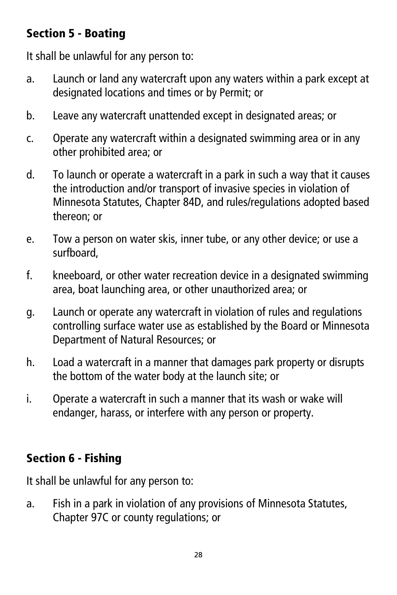# Section 5 - Boating

It shall be unlawful for any person to:

- a. Launch or land any watercraft upon any waters within a park except at designated locations and times or by Permit; or
- b. Leave any watercraft unattended except in designated areas; or
- c. Operate any watercraft within a designated swimming area or in any other prohibited area; or
- d. To launch or operate a watercraft in a park in such a way that it causes the introduction and/or transport of invasive species in violation of Minnesota Statutes, Chapter 84D, and rules/regulations adopted based thereon; or
- e. Tow a person on water skis, inner tube, or any other device; or use a surfboard,
- f. kneeboard, or other water recreation device in a designated swimming area, boat launching area, or other unauthorized area; or
- g. Launch or operate any watercraft in violation of rules and regulations controlling surface water use as established by the Board or Minnesota Department of Natural Resources; or
- h. Load a watercraft in a manner that damages park property or disrupts the bottom of the water body at the launch site; or
- i. Operate a watercraft in such a manner that its wash or wake will endanger, harass, or interfere with any person or property.

# Section 6 - Fishing

It shall be unlawful for any person to:

a. Fish in a park in violation of any provisions of Minnesota Statutes, Chapter 97C or county regulations; or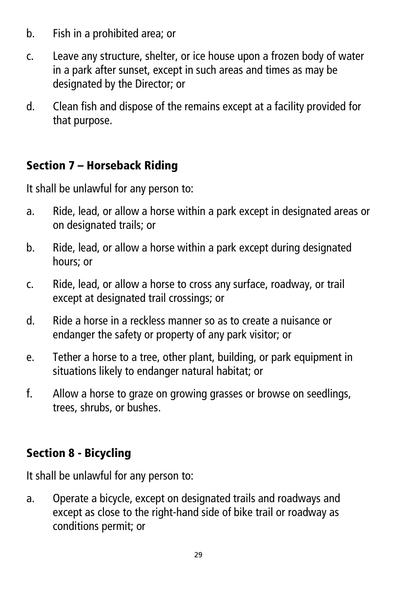- b. Fish in a prohibited area; or
- c. Leave any structure, shelter, or ice house upon a frozen body of water in a park after sunset, except in such areas and times as may be designated by the Director; or
- d. Clean fish and dispose of the remains except at a facility provided for that purpose.

# Section 7 – Horseback Riding

It shall be unlawful for any person to:

- a. Ride, lead, or allow a horse within a park except in designated areas or on designated trails; or
- b. Ride, lead, or allow a horse within a park except during designated hours; or
- c. Ride, lead, or allow a horse to cross any surface, roadway, or trail except at designated trail crossings; or
- d. Ride a horse in a reckless manner so as to create a nuisance or endanger the safety or property of any park visitor; or
- e. Tether a horse to a tree, other plant, building, or park equipment in situations likely to endanger natural habitat; or
- f. Allow a horse to graze on growing grasses or browse on seedlings, trees, shrubs, or bushes.

# Section 8 - Bicycling

It shall be unlawful for any person to:

a. Operate a bicycle, except on designated trails and roadways and except as close to the right-hand side of bike trail or roadway as conditions permit; or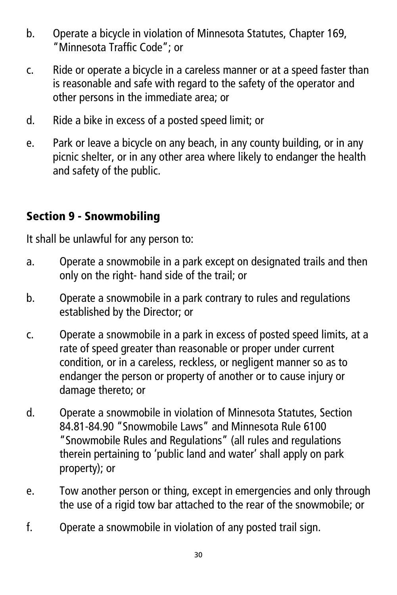- b. Operate a bicycle in violation of Minnesota Statutes, Chapter 169, "Minnesota Traffic Code"; or
- c. Ride or operate a bicycle in a careless manner or at a speed faster than is reasonable and safe with regard to the safety of the operator and other persons in the immediate area; or
- d. Ride a bike in excess of a posted speed limit; or
- e. Park or leave a bicycle on any beach, in any county building, or in any picnic shelter, or in any other area where likely to endanger the health and safety of the public.

# Section 9 - Snowmobiling

- a. Operate a snowmobile in a park except on designated trails and then only on the right- hand side of the trail; or
- b. Operate a snowmobile in a park contrary to rules and regulations established by the Director; or
- c. Operate a snowmobile in a park in excess of posted speed limits, at a rate of speed greater than reasonable or proper under current condition, or in a careless, reckless, or negligent manner so as to endanger the person or property of another or to cause injury or damage thereto; or
- d. Operate a snowmobile in violation of Minnesota Statutes, Section 84.81-84.90 "Snowmobile Laws" and Minnesota Rule 6100 "Snowmobile Rules and Regulations" (all rules and regulations therein pertaining to 'public land and water' shall apply on park property); or
- e. Tow another person or thing, except in emergencies and only through the use of a rigid tow bar attached to the rear of the snowmobile; or
- f. Operate a snowmobile in violation of any posted trail sign.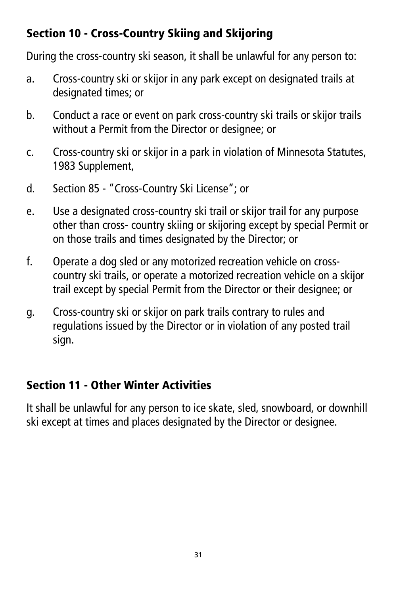# Section 10 - Cross-Country Skiing and Skijoring

During the cross-country ski season, it shall be unlawful for any person to:

- a. Cross-country ski or skijor in any park except on designated trails at designated times; or
- b. Conduct a race or event on park cross-country ski trails or skijor trails without a Permit from the Director or designee; or
- c. Cross-country ski or skijor in a park in violation of Minnesota Statutes, 1983 Supplement,
- d. Section 85 "Cross-Country Ski License"; or
- e. Use a designated cross-country ski trail or skijor trail for any purpose other than cross- country skiing or skijoring except by special Permit or on those trails and times designated by the Director; or
- f. Operate a dog sled or any motorized recreation vehicle on crosscountry ski trails, or operate a motorized recreation vehicle on a skijor trail except by special Permit from the Director or their designee; or
- g. Cross-country ski or skijor on park trails contrary to rules and regulations issued by the Director or in violation of any posted trail sign.

# Section 11 - Other Winter Activities

It shall be unlawful for any person to ice skate, sled, snowboard, or downhill ski except at times and places designated by the Director or designee.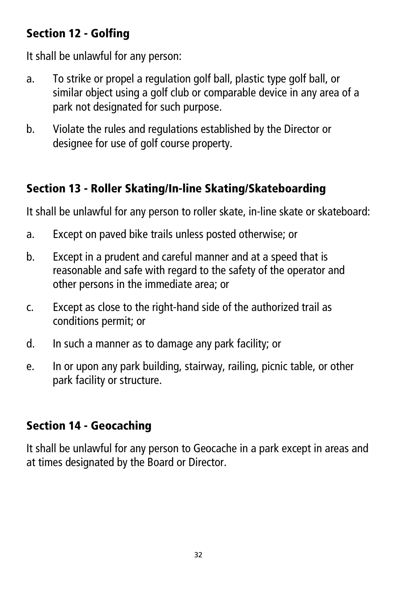# Section 12 - Golfing

It shall be unlawful for any person:

- a. To strike or propel a regulation golf ball, plastic type golf ball, or similar object using a golf club or comparable device in any area of a park not designated for such purpose.
- b. Violate the rules and regulations established by the Director or designee for use of golf course property.

# Section 13 - Roller Skating/In-line Skating/Skateboarding

It shall be unlawful for any person to roller skate, in-line skate or skateboard:

- a. Except on paved bike trails unless posted otherwise; or
- b. Except in a prudent and careful manner and at a speed that is reasonable and safe with regard to the safety of the operator and other persons in the immediate area; or
- c. Except as close to the right-hand side of the authorized trail as conditions permit; or
- d. In such a manner as to damage any park facility; or
- e. In or upon any park building, stairway, railing, picnic table, or other park facility or structure.

# Section 14 - Geocaching

It shall be unlawful for any person to Geocache in a park except in areas and at times designated by the Board or Director.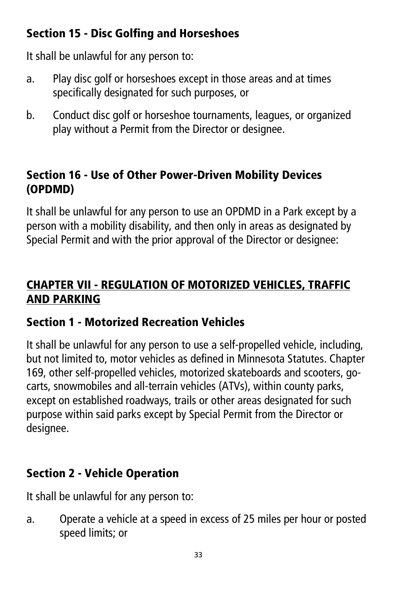# Section 15 - Disc Golfing and Horseshoes

It shall be unlawful for any person to:

- a. Play disc golf or horseshoes except in those areas and at times specifically designated for such purposes, or
- b. Conduct disc golf or horseshoe tournaments, leagues, or organized play without a Permit from the Director or designee.

# Section 16 - Use of Other Power-Driven Mobility Devices (OPDMD)

It shall be unlawful for any person to use an OPDMD in a Park except by a person with a mobility disability, and then only in areas as designated by Special Permit and with the prior approval of the Director or designee:

# CHAPTER VII - REGULATION OF MOTORIZED VEHICLES, TRAFFIC AND PARKING

# Section 1 - Motorized Recreation Vehicles

It shall be unlawful for any person to use a self-propelled vehicle, including, but not limited to, motor vehicles as defined in Minnesota Statutes. Chapter 169, other self-propelled vehicles, motorized skateboards and scooters, gocarts, snowmobiles and all-terrain vehicles (ATVs), within county parks, except on established roadways, trails or other areas designated for such purpose within said parks except by Special Permit from the Director or designee.

# Section 2 - Vehicle Operation

It shall be unlawful for any person to:

a. Operate a vehicle at a speed in excess of 25 miles per hour or posted speed limits; or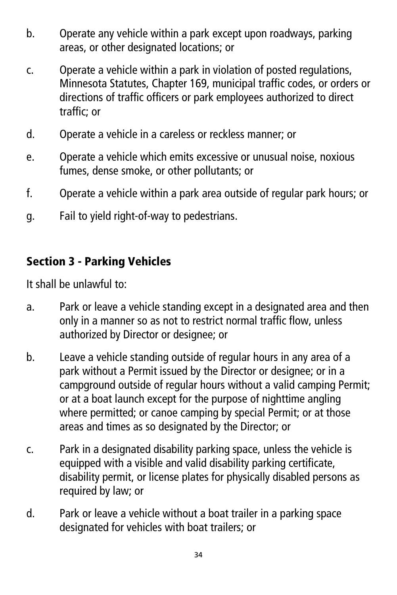- b. Operate any vehicle within a park except upon roadways, parking areas, or other designated locations; or
- c. Operate a vehicle within a park in violation of posted regulations, Minnesota Statutes, Chapter 169, municipal traffic codes, or orders or directions of traffic officers or park employees authorized to direct traffic; or
- d. Operate a vehicle in a careless or reckless manner; or
- e. Operate a vehicle which emits excessive or unusual noise, noxious fumes, dense smoke, or other pollutants; or
- f. Operate a vehicle within a park area outside of regular park hours; or
- g. Fail to yield right-of-way to pedestrians.

# Section 3 - Parking Vehicles

It shall be unlawful to:

- a. Park or leave a vehicle standing except in a designated area and then only in a manner so as not to restrict normal traffic flow, unless authorized by Director or designee; or
- b. Leave a vehicle standing outside of regular hours in any area of a park without a Permit issued by the Director or designee; or in a campground outside of regular hours without a valid camping Permit; or at a boat launch except for the purpose of nighttime angling where permitted; or canoe camping by special Permit; or at those areas and times as so designated by the Director; or
- c. Park in a designated disability parking space, unless the vehicle is equipped with a visible and valid disability parking certificate, disability permit, or license plates for physically disabled persons as required by law; or
- d. Park or leave a vehicle without a boat trailer in a parking space designated for vehicles with boat trailers; or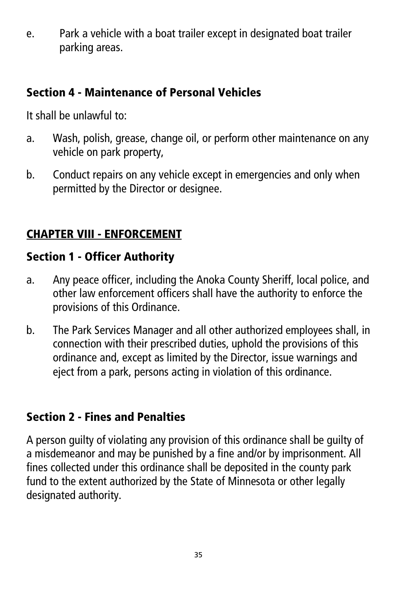e. Park a vehicle with a boat trailer except in designated boat trailer parking areas.

#### Section 4 - Maintenance of Personal Vehicles

It shall be unlawful to:

- a. Wash, polish, grease, change oil, or perform other maintenance on any vehicle on park property,
- b. Conduct repairs on any vehicle except in emergencies and only when permitted by the Director or designee.

# CHAPTER VIII - ENFORCEMENT

# Section 1 - Officer Authority

- a. Any peace officer, including the Anoka County Sheriff, local police, and other law enforcement officers shall have the authority to enforce the provisions of this Ordinance.
- b. The Park Services Manager and all other authorized employees shall, in connection with their prescribed duties, uphold the provisions of this ordinance and, except as limited by the Director, issue warnings and eject from a park, persons acting in violation of this ordinance.

# Section 2 - Fines and Penalties

A person guilty of violating any provision of this ordinance shall be guilty of a misdemeanor and may be punished by a fine and/or by imprisonment. All fines collected under this ordinance shall be deposited in the county park fund to the extent authorized by the State of Minnesota or other legally designated authority.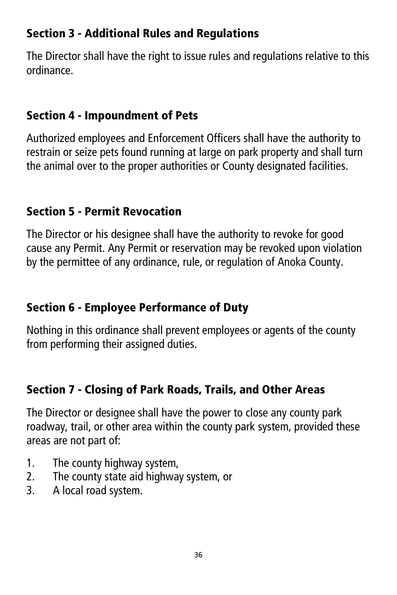# Section 3 - Additional Rules and Regulations

The Director shall have the right to issue rules and regulations relative to this ordinance.

#### Section 4 - Impoundment of Pets

Authorized employees and Enforcement Officers shall have the authority to restrain or seize pets found running at large on park property and shall turn the animal over to the proper authorities or County designated facilities.

#### Section 5 - Permit Revocation

The Director or his designee shall have the authority to revoke for good cause any Permit. Any Permit or reservation may be revoked upon violation by the permittee of any ordinance, rule, or regulation of Anoka County.

# Section 6 - Employee Performance of Duty

Nothing in this ordinance shall prevent employees or agents of the county from performing their assigned duties.

# Section 7 - Closing of Park Roads, Trails, and Other Areas

The Director or designee shall have the power to close any county park roadway, trail, or other area within the county park system, provided these areas are not part of:

- 1. The county highway system,
- 2. The county state aid highway system, or
- 3. A local road system.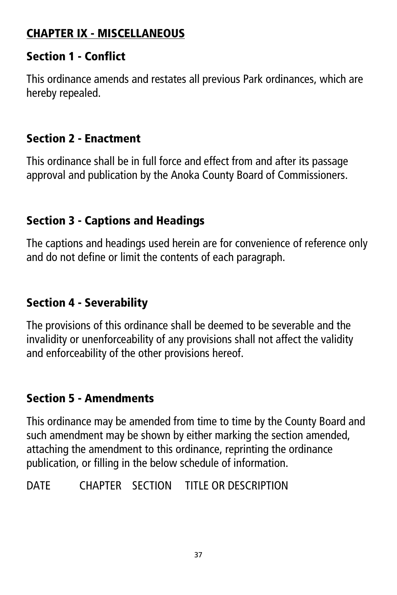# CHAPTER IX - MISCELLANEOUS

#### Section 1 - Conflict

This ordinance amends and restates all previous Park ordinances, which are hereby repealed.

#### Section 2 - Enactment

This ordinance shall be in full force and effect from and after its passage approval and publication by the Anoka County Board of Commissioners.

# Section 3 - Captions and Headings

The captions and headings used herein are for convenience of reference only and do not define or limit the contents of each paragraph.

# Section 4 - Severability

The provisions of this ordinance shall be deemed to be severable and the invalidity or unenforceability of any provisions shall not affect the validity and enforceability of the other provisions hereof.

#### Section 5 - Amendments

This ordinance may be amended from time to time by the County Board and such amendment may be shown by either marking the section amended, attaching the amendment to this ordinance, reprinting the ordinance publication, or filling in the below schedule of information.

DATE CHAPTER SECTION TITLE OR DESCRIPTION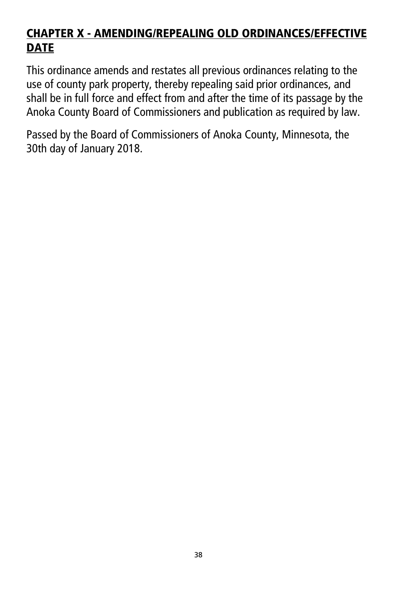# CHAPTER X - AMENDING/REPEALING OLD ORDINANCES/EFFECTIVE **DATE**

This ordinance amends and restates all previous ordinances relating to the use of county park property, thereby repealing said prior ordinances, and shall be in full force and effect from and after the time of its passage by the Anoka County Board of Commissioners and publication as required by law.

Passed by the Board of Commissioners of Anoka County, Minnesota, the 30th day of January 2018.